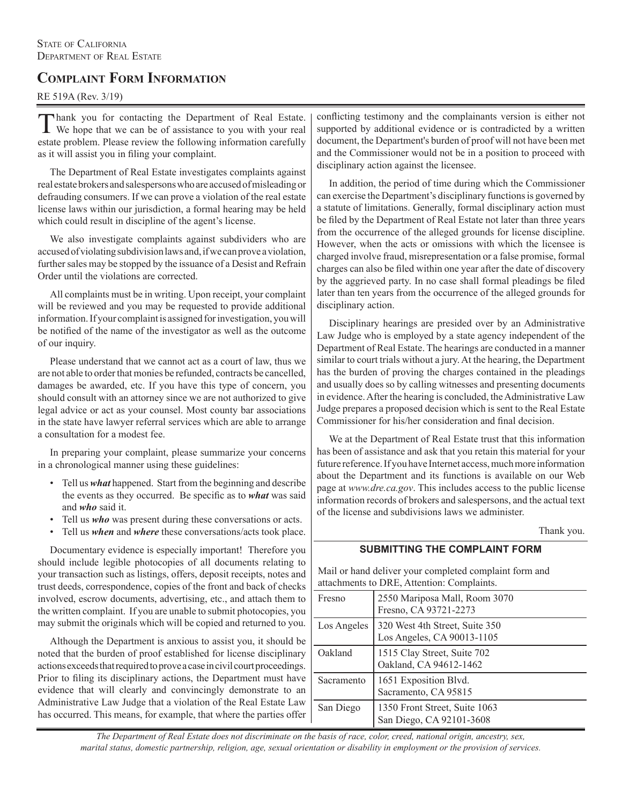## **COMPLAINT FORM INFORMATION**

#### RE 519A (Rev. 3/19)

 hank you for contacting the Department of Real Estate. We hope that we can be of assistance to you with your real estate problem. Please review the following information carefully as it will assist you in filing your complaint.

The Department of Real Estate investigates complaints against real estate brokers and salespersons who are accused of misleading or defrauding consumers. If we can prove a violation of the real estate license laws within our jurisdiction, a formal hearing may be held which could result in discipline of the agent's license.

We also investigate complaints against subdividers who are accused of violating subdivision laws and, if we can prove a violation, further sales may be stopped by the issuance of a Desist and Refrain Order until the violations are corrected.

All complaints must be in writing. Upon receipt, your complaint will be reviewed and you may be requested to provide additional information. If your complaint is assigned for investigation, you will be notified of the name of the investigator as well as the outcome of our inquiry.

Please understand that we cannot act as a court of law, thus we are not able to order that monies be refunded, contracts be cancelled, damages be awarded, etc. If you have this type of concern, you should consult with an attorney since we are not authorized to give legal advice or act as your counsel. Most county bar associations in the state have lawyer referral services which are able to arrange a consultation for a modest fee.

In preparing your complaint, please summarize your concerns in a chronological manner using these guidelines:

- Tell us *what* happened. Start from the beginning and describe the events as they occurred. Be specific as to *what* was said and *who* said it.
- Tell us *who* was present during these conversations or acts.
- Tell us *when* and *where* these conversations/acts took place.

Documentary evidence is especially important! Therefore you should include legible photocopies of all documents relating to your transaction such as listings, offers, deposit receipts, notes and trust deeds, correspondence, copies of the front and back of checks involved, escrow documents, advertising, etc., and attach them to the written complaint. If you are unable to submit photocopies, you may submit the originals which will be copied and returned to you.

Although the Department is anxious to assist you, it should be noted that the burden of proof established for license disciplinary actions exceeds that required to prove a case in civil court proceedings. Prior to filing its disciplinary actions, the Department must have evidence that will clearly and convincingly demonstrate to an Administrative Law Judge that a violation of the Real Estate Law has occurred. This means, for example, that where the parties offer conflicting testimony and the complainants version is either not supported by additional evidence or is contradicted by a written document, the Department's burden of proof will not have been met and the Commissioner would not be in a position to proceed with disciplinary action against the licensee.

In addition, the period of time during which the Commissioner can exercise the Department's disciplinary functions is governed by a statute of limitations. Generally, formal disciplinary action must be filed by the Department of Real Estate not later than three years from the occurrence of the alleged grounds for license discipline. However, when the acts or omissions with which the licensee is charged involve fraud, misrepresentation or a false promise, formal charges can also be filed within one year after the date of discovery by the aggrieved party. In no case shall formal pleadings be filed later than ten years from the occurrence of the alleged grounds for disciplinary action.

Disciplinary hearings are presided over by an Administrative Law Judge who is employed by a state agency independent of the Department of Real Estate. The hearings are conducted in a manner similar to court trials without a jury. At the hearing, the Department has the burden of proving the charges contained in the pleadings and usually does so by calling witnesses and presenting documents in evidence. After the hearing is concluded, the Administrative Law Judge prepares a proposed decision which is sent to the Real Estate Commissioner for his/her consideration and final decision.

We at the Department of Real Estate trust that this information has been of assistance and ask that you retain this material for your future reference. If you have Internet access, much more information about the Department and its functions is available on our Web page at *[www.dre.ca.gov](http://www.dre.ca.gov/)*. This includes access to the public license information records of brokers and salespersons, and the actual text of the license and subdivisions laws we administer.

Thank you.

#### **SUBMITTING THE COMPLAINT FORM**

Mail or hand deliver your completed complaint form and attachments to DRE, Attention: Complaints.

| Fresno      | 2550 Mariposa Mall, Room 3070<br>Fresno, CA 93721-2273       |
|-------------|--------------------------------------------------------------|
| Los Angeles | 320 West 4th Street, Suite 350<br>Los Angeles, CA 90013-1105 |
| Oakland     | 1515 Clay Street, Suite 702<br>Oakland, CA 94612-1462        |
| Sacramento  | 1651 Exposition Blvd.<br>Sacramento, CA 95815                |
| San Diego   | 1350 Front Street, Suite 1063<br>San Diego, CA 92101-3608    |

*The Department of Real Estate does not discriminate on the basis of race, color, creed, national origin, ancestry, sex, marital status, domestic partnership, religion, age, sexual orientation or disability in employment or the provision of services.*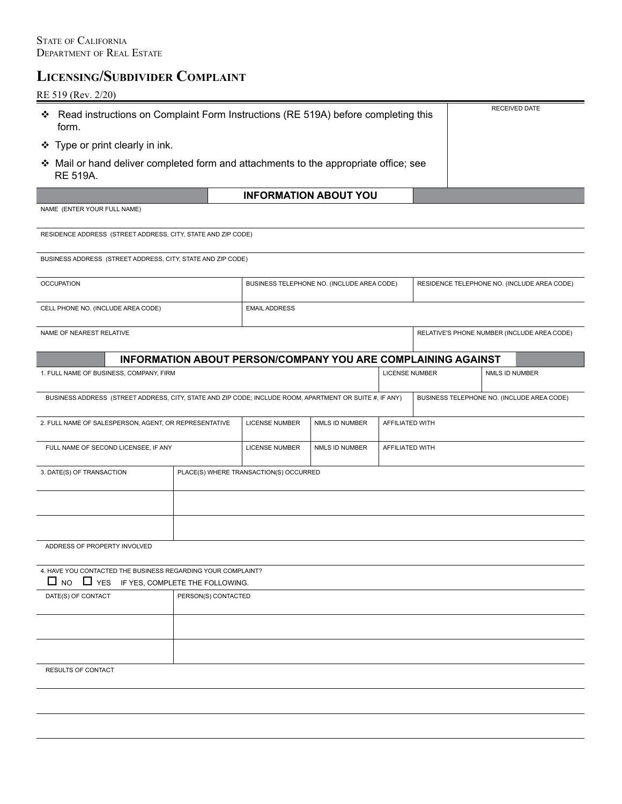# **LICENSING/SUBDIVIDER COMPLAINT**

### RE 519 (Rev. 2/20)

| ❖<br>form.                                                                                                           | Read instructions on Complaint Form Instructions (RE 519A) before completing this |                                        |                                                                     |                                             |                                             |                                            |  |  |
|----------------------------------------------------------------------------------------------------------------------|-----------------------------------------------------------------------------------|----------------------------------------|---------------------------------------------------------------------|---------------------------------------------|---------------------------------------------|--------------------------------------------|--|--|
| ❖ Type or print clearly in ink.                                                                                      |                                                                                   |                                        |                                                                     |                                             |                                             |                                            |  |  |
| ❖ Mail or hand deliver completed form and attachments to the appropriate office; see<br>RE 519A.                     |                                                                                   |                                        |                                                                     |                                             |                                             |                                            |  |  |
|                                                                                                                      |                                                                                   |                                        | <b>INFORMATION ABOUT YOU</b>                                        |                                             |                                             |                                            |  |  |
| NAME (ENTER YOUR FULL NAME)                                                                                          |                                                                                   |                                        |                                                                     |                                             |                                             |                                            |  |  |
| RESIDENCE ADDRESS (STREET ADDRESS, CITY, STATE AND ZIP CODE)                                                         |                                                                                   |                                        |                                                                     |                                             |                                             |                                            |  |  |
| BUSINESS ADDRESS (STREET ADDRESS, CITY, STATE AND ZIP CODE)                                                          |                                                                                   |                                        |                                                                     |                                             |                                             |                                            |  |  |
| <b>OCCUPATION</b>                                                                                                    | BUSINESS TELEPHONE NO. (INCLUDE AREA CODE)                                        |                                        |                                                                     | RESIDENCE TELEPHONE NO. (INCLUDE AREA CODE) |                                             |                                            |  |  |
| CELL PHONE NO. (INCLUDE AREA CODE)                                                                                   | <b>EMAIL ADDRESS</b>                                                              |                                        |                                                                     |                                             |                                             |                                            |  |  |
| NAME OF NEAREST RELATIVE                                                                                             |                                                                                   |                                        |                                                                     |                                             | RELATIVE'S PHONE NUMBER (INCLUDE AREA CODE) |                                            |  |  |
|                                                                                                                      |                                                                                   |                                        | <b>INFORMATION ABOUT PERSON/COMPANY YOU ARE COMPLAINING AGAINST</b> |                                             |                                             |                                            |  |  |
| 1. FULL NAME OF BUSINESS, COMPANY, FIRM                                                                              | <b>LICENSE NUMBER</b>                                                             |                                        |                                                                     | NMLS ID NUMBER                              |                                             |                                            |  |  |
| BUSINESS ADDRESS (STREET ADDRESS, CITY, STATE AND ZIP CODE; INCLUDE ROOM, APARTMENT OR SUITE #, IF ANY)              |                                                                                   |                                        |                                                                     |                                             |                                             | BUSINESS TELEPHONE NO. (INCLUDE AREA CODE) |  |  |
| 2. FULL NAME OF SALESPERSON, AGENT, OR REPRESENTATIVE                                                                | <b>LICENSE NUMBER</b>                                                             | NMLS ID NUMBER                         | AFFILIATED WITH                                                     |                                             |                                             |                                            |  |  |
| FULL NAME OF SECOND LICENSEE, IF ANY                                                                                 |                                                                                   | <b>LICENSE NUMBER</b>                  | NMLS ID NUMBER                                                      | AFFILIATED WITH                             |                                             |                                            |  |  |
| 3. DATE(S) OF TRANSACTION                                                                                            |                                                                                   | PLACE(S) WHERE TRANSACTION(S) OCCURRED |                                                                     |                                             |                                             |                                            |  |  |
|                                                                                                                      |                                                                                   |                                        |                                                                     |                                             |                                             |                                            |  |  |
|                                                                                                                      |                                                                                   |                                        |                                                                     |                                             |                                             |                                            |  |  |
| ADDRESS OF PROPERTY INVOLVED                                                                                         |                                                                                   |                                        |                                                                     |                                             |                                             |                                            |  |  |
| 4. HAVE YOU CONTACTED THE BUSINESS REGARDING YOUR COMPLAINT?<br>$\Box$ NO $\Box$ YES IF YES, COMPLETE THE FOLLOWING. |                                                                                   |                                        |                                                                     |                                             |                                             |                                            |  |  |
| DATE(S) OF CONTACT                                                                                                   |                                                                                   | PERSON(S) CONTACTED                    |                                                                     |                                             |                                             |                                            |  |  |
|                                                                                                                      |                                                                                   |                                        |                                                                     |                                             |                                             |                                            |  |  |
|                                                                                                                      |                                                                                   |                                        |                                                                     |                                             |                                             |                                            |  |  |
| RESULTS OF CONTACT                                                                                                   |                                                                                   |                                        |                                                                     |                                             |                                             |                                            |  |  |
|                                                                                                                      |                                                                                   |                                        |                                                                     |                                             |                                             |                                            |  |  |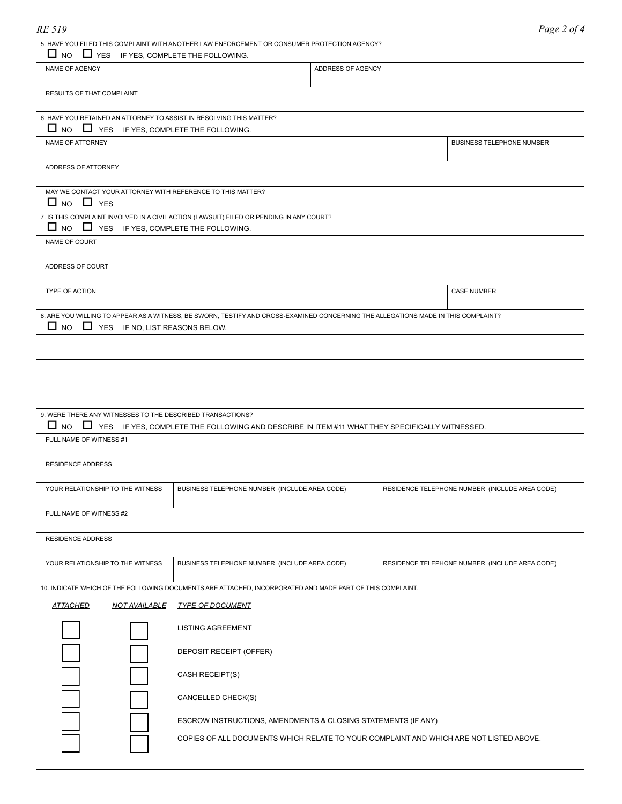| RE 519                                                                   |                                                                                                                                    |                   | Page 2 of 4                                    |
|--------------------------------------------------------------------------|------------------------------------------------------------------------------------------------------------------------------------|-------------------|------------------------------------------------|
|                                                                          | 5. HAVE YOU FILED THIS COMPLAINT WITH ANOTHER LAW ENFORCEMENT OR CONSUMER PROTECTION AGENCY?                                       |                   |                                                |
| $\Box$ NO $\Box$ YES IF YES, COMPLETE THE FOLLOWING.                     |                                                                                                                                    |                   |                                                |
| NAME OF AGENCY                                                           |                                                                                                                                    | ADDRESS OF AGENCY |                                                |
| <b>RESULTS OF THAT COMPLAINT</b>                                         |                                                                                                                                    |                   |                                                |
| 6. HAVE YOU RETAINED AN ATTORNEY TO ASSIST IN RESOLVING THIS MATTER?     |                                                                                                                                    |                   |                                                |
| $\Box$ NO $\Box$ YES IF YES, COMPLETE THE FOLLOWING.<br>NAME OF ATTORNEY |                                                                                                                                    |                   | BUSINESS TELEPHONE NUMBER                      |
|                                                                          |                                                                                                                                    |                   |                                                |
| ADDRESS OF ATTORNEY                                                      |                                                                                                                                    |                   |                                                |
| MAY WE CONTACT YOUR ATTORNEY WITH REFERENCE TO THIS MATTER?              |                                                                                                                                    |                   |                                                |
| $\Box$ NO $\Box$ YES                                                     | 7. IS THIS COMPLAINT INVOLVED IN A CIVIL ACTION (LAWSUIT) FILED OR PENDING IN ANY COURT?                                           |                   |                                                |
| $\Box$ NO $\Box$ YES IF YES, COMPLETE THE FOLLOWING.                     |                                                                                                                                    |                   |                                                |
| NAME OF COURT                                                            |                                                                                                                                    |                   |                                                |
| ADDRESS OF COURT                                                         |                                                                                                                                    |                   |                                                |
| <b>TYPE OF ACTION</b>                                                    |                                                                                                                                    |                   | <b>CASE NUMBER</b>                             |
|                                                                          |                                                                                                                                    |                   |                                                |
| $\Box$ NO<br>$\Box$ YES IF NO, LIST REASONS BELOW.                       | 8. ARE YOU WILLING TO APPEAR AS A WITNESS, BE SWORN, TESTIFY AND CROSS-EXAMINED CONCERNING THE ALLEGATIONS MADE IN THIS COMPLAINT? |                   |                                                |
|                                                                          |                                                                                                                                    |                   |                                                |
|                                                                          |                                                                                                                                    |                   |                                                |
|                                                                          |                                                                                                                                    |                   |                                                |
|                                                                          |                                                                                                                                    |                   |                                                |
| 9. WERE THERE ANY WITNESSES TO THE DESCRIBED TRANSACTIONS?               |                                                                                                                                    |                   |                                                |
| $\Box$ NO<br>FULL NAME OF WITNESS #1                                     | VES IF YES, COMPLETE THE FOLLOWING AND DESCRIBE IN ITEM #11 WHAT THEY SPECIFICALLY WITNESSED.                                      |                   |                                                |
|                                                                          |                                                                                                                                    |                   |                                                |
| <b>RESIDENCE ADDRESS</b>                                                 |                                                                                                                                    |                   |                                                |
| YOUR RELATIONSHIP TO THE WITNESS                                         | BUSINESS TELEPHONE NUMBER (INCLUDE AREA CODE)                                                                                      |                   | RESIDENCE TELEPHONE NUMBER (INCLUDE AREA CODE) |
| FULL NAME OF WITNESS #2                                                  |                                                                                                                                    |                   |                                                |
|                                                                          |                                                                                                                                    |                   |                                                |
| RESIDENCE ADDRESS                                                        |                                                                                                                                    |                   |                                                |
| YOUR RELATIONSHIP TO THE WITNESS                                         | BUSINESS TELEPHONE NUMBER (INCLUDE AREA CODE)                                                                                      |                   | RESIDENCE TELEPHONE NUMBER (INCLUDE AREA CODE) |
|                                                                          | 10. INDICATE WHICH OF THE FOLLOWING DOCUMENTS ARE ATTACHED, INCORPORATED AND MADE PART OF THIS COMPLAINT.                          |                   |                                                |
| <b>ATTACHED</b><br><b>NOT AVAILABLE</b>                                  | <b>TYPE OF DOCUMENT</b>                                                                                                            |                   |                                                |
|                                                                          | <b>LISTING AGREEMENT</b>                                                                                                           |                   |                                                |
|                                                                          | DEPOSIT RECEIPT (OFFER)                                                                                                            |                   |                                                |
|                                                                          |                                                                                                                                    |                   |                                                |
|                                                                          | CASH RECEIPT(S)                                                                                                                    |                   |                                                |
|                                                                          | CANCELLED CHECK(S)                                                                                                                 |                   |                                                |

ESCROW INSTRUCTIONS, AMENDMENTS & CLOSING STATEMENTS (IF ANY)

and the contract of the contract of **Contract Contract Contract** 

COPIES OF ALL DOCUMENTS WHICH RELATE TO YOUR COMPLAINT AND WHICH ARE NOT LISTED ABOVE.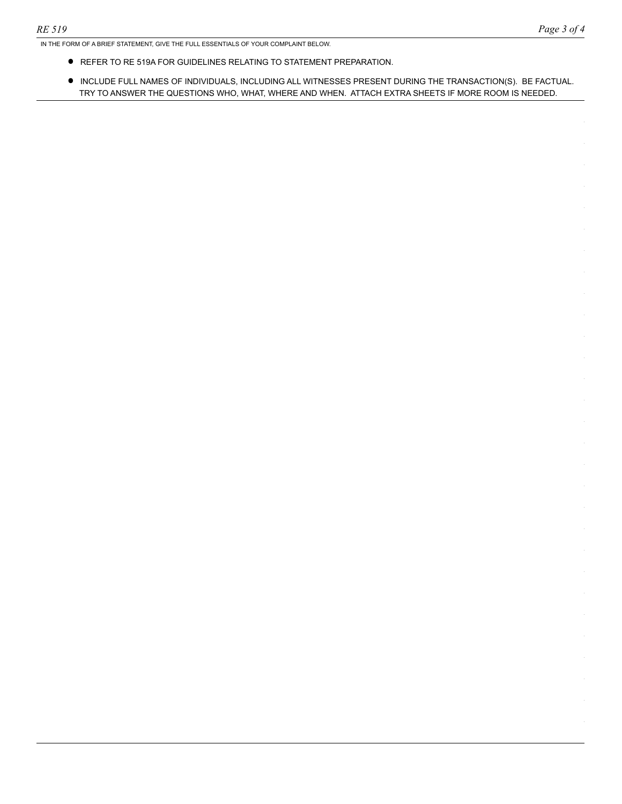IN THE FORM OF A BRIEF STATEMENT, GIVE THE FULL ESSENTIALS OF YOUR COMPLAINT BELOW.

- REFER TO RE 519A FOR GUIDELINES RELATING TO STATEMENT PREPARATION.
- • INCLUDE FULL NAMES OF INDIVIDUALS, INCLUDING ALL WITNESSES PRESENT DURING THE TRANSACTION(S). BE FACTUAL. TRY TO ANSWER THE QUESTIONS WHO, WHAT, WHERE AND WHEN. ATTACH EXTRA SHEETS IF MORE ROOM IS NEEDED.